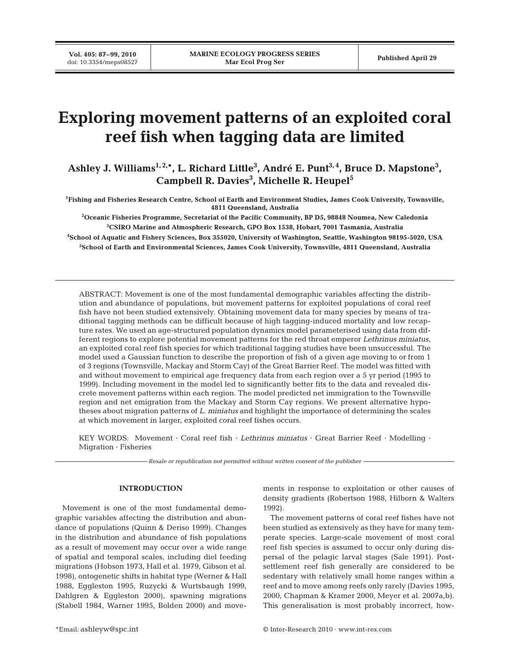**Vol. 405: 87–99, 2010**

# **Exploring movement patterns of an exploited coral reef fish when tagging data are limited**

Ashley J. Williams<sup>1,2,\*</sup>, L. Richard Little<sup>3</sup>, André E. Punt<sup>3,4</sup>, Bruce D. Mapstone<sup>3</sup>, **Campbell R. Davies3 , Michelle R. Heupel5**

**1 Fishing and Fisheries Research Centre, School of Earth and Environment Studies, James Cook University, Townsville, 4811 Queensland, Australia**

**2 Oceanic Fisheries Programme, Secretariat of the Pacific Community, BP D5, 98848 Noumea, New Caledonia 3 CSIRO Marine and Atmospheric Research, GPO Box 1538, Hobart, 7001 Tasmania, Australia**

**4 School of Aquatic and Fishery Sciences, Box 355020, University of Washington, Seattle, Washington 98195-5020, USA 5 School of Earth and Environmental Sciences, James Cook University, Townsville, 4811 Queensland, Australia**

ABSTRACT: Movement is one of the most fundamental demographic variables affecting the distribution and abundance of populations, but movement patterns for exploited populations of coral reef fish have not been studied extensively. Obtaining movement data for many species by means of traditional tagging methods can be difficult because of high tagging-induced mortality and low recapture rates. We used an age-structured population dynamics model parameterised using data from different regions to explore potential movement patterns for the red throat emperor *Lethrinus miniatus*, an exploited coral reef fish species for which traditional tagging studies have been unsuccessful. The model used a Gaussian function to describe the proportion of fish of a given age moving to or from 1 of 3 regions (Townsville, Mackay and Storm Cay) of the Great Barrier Reef. The model was fitted with and without movement to empirical age frequency data from each region over a 5 yr period (1995 to 1999). Including movement in the model led to significantly better fits to the data and revealed discrete movement patterns within each region. The model predicted net immigration to the Townsville region and net emigration from the Mackay and Storm Cay regions. We present alternative hypotheses about migration patterns of *L. miniatus* and highlight the importance of determining the scales at which movement in larger, exploited coral reef fishes occurs.

KEY WORDS: Movement · Coral reef fish · *Lethrinus miniatus* · Great Barrier Reef · Modelling · Migration · Fisheries

*Resale or republication not permitted without written consent of the publisher*

#### **INTRODUCTION**

Movement is one of the most fundamental demographic variables affecting the distribution and abundance of populations (Quinn & Deriso 1999). Changes in the distribution and abundance of fish populations as a result of movement may occur over a wide range of spatial and temporal scales, including diel feeding migrations (Hobson 1973, Hall et al. 1979, Gibson et al. 1998), ontogenetic shifts in habitat type (Werner & Hall 1988, Eggleston 1995, Ruzycki & Wurtsbaugh 1999, Dahlgren & Eggleston 2000), spawning migrations (Stabell 1984, Warner 1995, Bolden 2000) and movements in response to exploitation or other causes of density gradients (Robertson 1988, Hilborn & Walters 1992).

The movement patterns of coral reef fishes have not been studied as extensively as they have for many temperate species. Large-scale movement of most coral reef fish species is assumed to occur only during dispersal of the pelagic larval stages (Sale 1991). Postsettlement reef fish generally are considered to be sedentary with relatively small home ranges within a reef and to move among reefs only rarely (Davies 1995, 2000, Chapman & Kramer 2000, Meyer et al. 2007a,b). This generalisation is most probably incorrect, how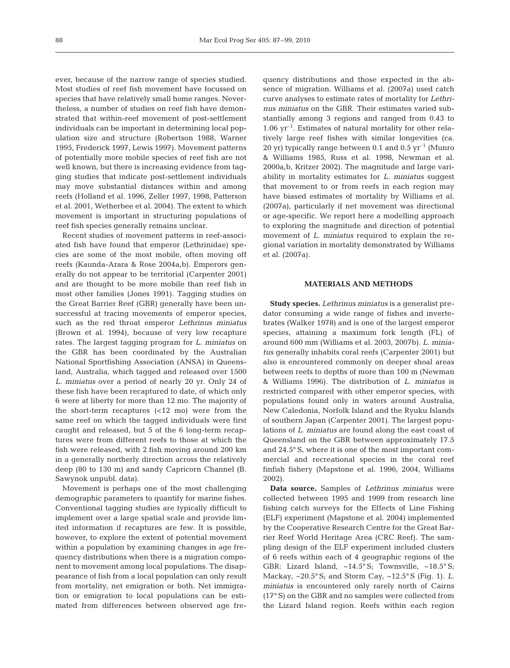ever, because of the narrow range of species studied. Most studies of reef fish movement have focussed on species that have relatively small home ranges. Nevertheless, a number of studies on reef fish have demonstrated that within-reef movement of post-settlement individuals can be important in determining local population size and structure (Robertson 1988, Warner 1995, Frederick 1997, Lewis 1997). Movement patterns of potentially more mobile species of reef fish are not well known, but there is increasing evidence from tagging studies that indicate post-settlement individuals may move substantial distances within and among reefs (Holland et al. 1996, Zeller 1997, 1998, Patterson et al. 2001, Wetherbee et al. 2004). The extent to which movement is important in structuring populations of reef fish species generally remains unclear.

Recent studies of movement patterns in reef-associated fish have found that emperor (Lethrinidae) species are some of the most mobile, often moving off reefs (Kaunda-Arara & Rose 2004a,b). Emperors generally do not appear to be territorial (Carpenter 2001) and are thought to be more mobile than reef fish in most other families (Jones 1991). Tagging studies on the Great Barrier Reef (GBR) generally have been unsuccessful at tracing movements of emperor species, such as the red throat emperor *Lethrinus miniatus* (Brown et al. 1994), because of very low recapture rates. The largest tagging program for *L. miniatus* on the GBR has been coordinated by the Australian National Sportfishing Association (ANSA) in Queensland, Australia, which tagged and released over 1500 *L. miniatus* over a period of nearly 20 yr. Only 24 of these fish have been recaptured to date, of which only 6 were at liberty for more than 12 mo. The majority of the short-term recaptures (<12 mo) were from the same reef on which the tagged individuals were first caught and released, but 5 of the 6 long-term recaptures were from different reefs to those at which the fish were released, with 2 fish moving around 200 km in a generally northerly direction across the relatively deep (80 to 130 m) and sandy Capricorn Channel (B. Sawynok unpubl. data).

Movement is perhaps one of the most challenging demographic parameters to quantify for marine fishes. Conventional tagging studies are typically difficult to implement over a large spatial scale and provide limited information if recaptures are few. It is possible, however, to explore the extent of potential movement within a population by examining changes in age frequency distributions when there is a migration component to movement among local populations. The disappearance of fish from a local population can only result from mortality, net emigration or both. Net immigration or emigration to local populations can be estimated from differences between observed age frequency distributions and those expected in the absence of migration. Williams et al. (2007a) used catch curve analyses to estimate rates of mortality for *Lethrinus miniatus* on the GBR. Their estimates varied substantially among 3 regions and ranged from 0.43 to  $1.06 \text{ yr}^{-1}$ . Estimates of natural mortality for other relatively large reef fishes with similar longevities (ca. 20 yr) typically range between 0.1 and 0.5  $yr^{-1}$  (Munro & Williams 1985, Russ et al. 1998, Newman et al. 2000a,b, Kritzer 2002). The magnitude and large variability in mortality estimates for *L. miniatus* suggest that movement to or from reefs in each region may have biased estimates of mortality by Williams et al. (2007a), particularly if net movement was directional or age-specific. We report here a modelling approach to exploring the magnitude and direction of potential movement of *L. miniatus* required to explain the regional variation in mortality demonstrated by Williams et al. (2007a).

## **MATERIALS AND METHODS**

**Study species.** *Lethrinus miniatus* is a generalist predator consuming a wide range of fishes and invertebrates (Walker 1978) and is one of the largest emperor species, attaining a maximum fork length (FL) of around 600 mm (Williams et al. 2003, 2007b). *L. miniatus* generally inhabits coral reefs (Carpenter 2001) but also is encountered commonly on deeper shoal areas between reefs to depths of more than 100 m (Newman & Williams 1996). The distribution of *L. miniatus* is restricted compared with other emperor species, with populations found only in waters around Australia, New Caledonia, Norfolk Island and the Ryuku Islands of southern Japan (Carpenter 2001). The largest populations of *L. miniatus* are found along the east coast of Queensland on the GBR between approximately 17.5 and 24.5° S, where it is one of the most important commercial and recreational species in the coral reef finfish fishery (Mapstone et al. 1996, 2004, Williams 2002).

**Data source.** Samples of *Lethrinus miniatus* were collected between 1995 and 1999 from research line fishing catch surveys for the Effects of Line Fishing (ELF) experiment (Mapstone et al. 2004) implemented by the Cooperative Research Centre for the Great Barrier Reef World Heritage Area (CRC Reef). The sampling design of the ELF experiment included clusters of 6 reefs within each of 4 geographic regions of the GBR: Lizard Island, ~14.5° S; Townsville, ~18.5° S; Mackay, ~20.5° S; and Storm Cay, ~12.5° S (Fig. 1). *L. miniatus* is encountered only rarely north of Cairns (17° S) on the GBR and no samples were collected from the Lizard Island region. Reefs within each region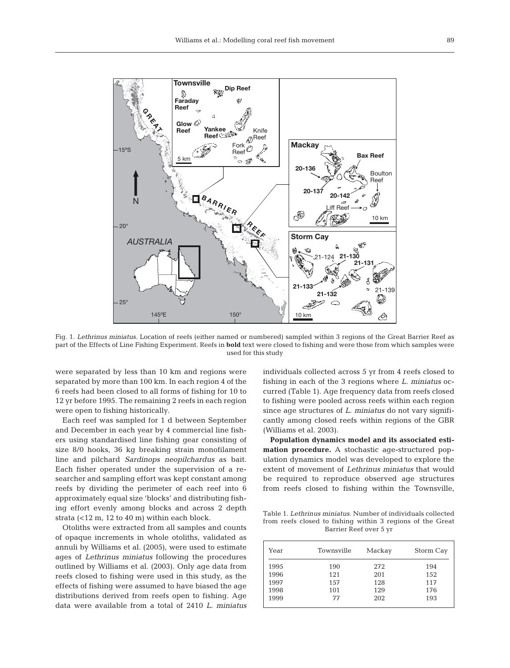

Fig. 1. *Lethrinus miniatus*. Location of reefs (either named or numbered) sampled within 3 regions of the Great Barrier Reef as part of the Effects of Line Fishing Experiment. Reefs in **bold** text were closed to fishing and were those from which samples were used for this study

were separated by less than 10 km and regions were separated by more than 100 km. In each region 4 of the 6 reefs had been closed to all forms of fishing for 10 to 12 yr before 1995. The remaining 2 reefs in each region were open to fishing historically.

Each reef was sampled for 1 d between September and December in each year by 4 commercial line fishers using standardised line fishing gear consisting of size 8/0 hooks, 36 kg breaking strain monofilament line and pilchard *Sardinops neopilchardus* as bait. Each fisher operated under the supervision of a researcher and sampling effort was kept constant among reefs by dividing the perimeter of each reef into 6 approximately equal size 'blocks' and distributing fishing effort evenly among blocks and across 2 depth strata (<12 m, 12 to 40 m) within each block.

Otoliths were extracted from all samples and counts of opaque increments in whole otoliths, validated as annuli by Williams et al. (2005), were used to estimate ages of *Lethrinus miniatus* following the procedures outlined by Williams et al. (2003). Only age data from reefs closed to fishing were used in this study, as the effects of fishing were assumed to have biased the age distributions derived from reefs open to fishing. Age data were available from a total of 2410 *L. miniatus* individuals collected across 5 yr from 4 reefs closed to fishing in each of the 3 regions where *L. miniatus* occurred (Table 1). Age frequency data from reefs closed to fishing were pooled across reefs within each region since age structures of *L. miniatus* do not vary significantly among closed reefs within regions of the GBR (Williams et al. 2003).

**Population dynamics model and its associated estimation procedure.** A stochastic age-structured population dynamics model was developed to explore the extent of movement of *Lethrinus miniatus* that would be required to reproduce observed age structures from reefs closed to fishing within the Townsville,

Table 1. *Lethrinus miniatus*. Number of individuals collected from reefs closed to fishing within 3 regions of the Great Barrier Reef over 5 yr

| Year | Townsville | Mackay | Storm Cay |  |
|------|------------|--------|-----------|--|
| 1995 | 190        | 272    | 194       |  |
| 1996 | 121        | 201    | 152       |  |
| 1997 | 157        | 128    | 117       |  |
| 1998 | 101        | 129    | 176       |  |
| 1999 | 77         | 202    | 193       |  |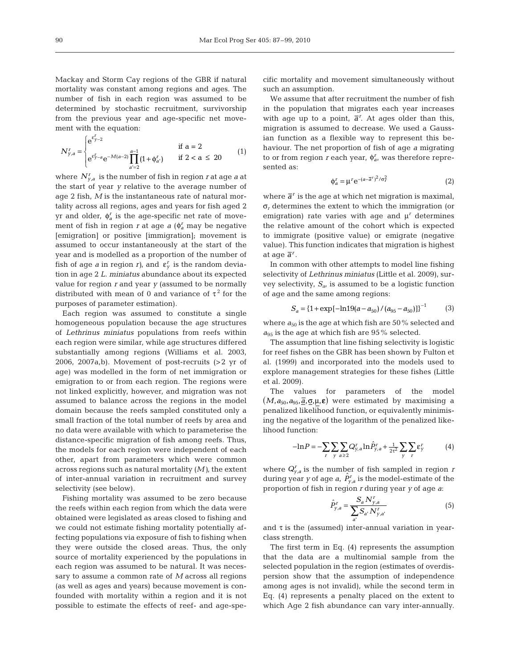Mackay and Storm Cay regions of the GBR if natural mortality was constant among regions and ages. The number of fish in each region was assumed to be determined by stochastic recruitment, survivorship from the previous year and age-specific net movement with the equation:

$$
N_{y,a}^{r} = \begin{cases} e^{\epsilon_{y-a}^{r}} & \text{if } a = 2\\ e^{\epsilon_{y-a}^{r}} e^{-M(a-2)} \prod_{a'=2}^{a-1} (1+\phi_{a'}^{r}) & \text{if } 2 < a \leq 20 \end{cases}
$$
(1)

where  $\,N^{\textit{r}}_{\mathrm{\textit{y}},a}\,$  is the number of fish in region  $\textit{r}$  at age  $\textit{a}$  at the start of year *y* relative to the average number of age 2 fish, *M* is the instantaneous rate of natural mortality across all regions, ages and years for fish aged 2 yr and older,  $\phi_a^r$  is the age-specific net rate of movement of fish in region *r* at age  $a \ (\phi_a^r \text{ may be negative})$ [emigration] or positive [immigration]; movement is assumed to occur instantaneously at the start of the year and is modelled as a proportion of the number of fish of age *a* in region *r*), and  $\epsilon_y^r$  is the random deviation in age 2 *L. miniatus* abundance about its expected value for region *r* and year *y* (assumed to be normally distributed with mean of 0 and variance of  $\tau^2$  for the purposes of parameter estimation).

Each region was assumed to constitute a single homogeneous population because the age structures of *Lethrinus miniatus* populations from reefs within each region were similar, while age structures differed substantially among regions (Williams et al. 2003, 2006, 2007a,b). Movement of post-recruits  $(>2$  yr of age) was modelled in the form of net immigration or emigration to or from each region. The regions were not linked explicitly, however, and migration was not assumed to balance across the regions in the model domain because the reefs sampled constituted only a small fraction of the total number of reefs by area and no data were available with which to parameterise the distance-specific migration of fish among reefs. Thus, the models for each region were independent of each other, apart from parameters which were common across regions such as natural mortality (*M)*, the extent of inter-annual variation in recruitment and survey selectivity (see below).

Fishing mortality was assumed to be zero because the reefs within each region from which the data were obtained were legislated as areas closed to fishing and we could not estimate fishing mortality potentially affecting populations via exposure of fish to fishing when they were outside the closed areas. Thus, the only source of mortality experienced by the populations in each region was assumed to be natural. It was necessary to assume a common rate of *M* across all regions (as well as ages and years) because movement is confounded with mortality within a region and it is not possible to estimate the effects of reef- and age-specific mortality and movement simultaneously without such an assumption.

We assume that after recruitment the number of fish in the population that migrates each year increases with age up to a point,  $\bar{a}^r$ . At ages older than this, migration is assumed to decrease. We used a Gaussian function as a flexible way to represent this behaviour. The net proportion of fish of age *a* migrating to or from region *r* each year,  $\phi_a^r$ , was therefore represented as:

$$
\Phi_a^r = \mu^r e^{-(a-\overline{a}^r)^2/\sigma_r^2}
$$
 (2)

where  $\bar{a}^r$  is the age at which net migration is maximal, σ*<sup>r</sup>* determines the extent to which the immigration (or emigration) rate varies with age and  $\mu^r$  determines the relative amount of the cohort which is expected to immigrate (positive value) or emigrate (negative value). This function indicates that migration is highest at age  $\bar{a}^r$ .

In common with other attempts to model line fishing selectivity of *Lethrinus miniatus* (Little et al. 2009), survey selectivity, *Sa*, is assumed to be a logistic function of age and the same among regions:

$$
S_a = \{1 + \exp[-\ln 19(a - a_{50})/(a_{95} - a_{50})]\}^{-1}
$$
 (3)

where  $a_{50}$  is the age at which fish are 50% selected and  $a_{95}$  is the age at which fish are 95% selected.

The assumption that line fishing selectivity is logistic for reef fishes on the GBR has been shown by Fulton et al. (1999) and incorporated into the models used to explore management strategies for these fishes (Little et al. 2009).

The values for parameters of the model  $(M, a_{50}, a_{95}, \overline{\underline{a}}, \underline{\sigma}, \mu, \epsilon)$  were estimated by maximising a penalized likelihood function, or equivalently minimising the negative of the logarithm of the penalized likelihood function:

$$
-\ln P = -\sum_{r} \sum_{y} \sum_{a \ge 2} Q_{y,a}^{r} \ln \hat{P}_{y,a}^{r} + \frac{1}{2\tau^{2}} \sum_{y} \sum_{r} \varepsilon_{y}^{r}
$$
(4)

where  $Q_{y,a}^r$  is the number of fish sampled in region *r* during year *y* of age *a*,  $\hat{P}_{y,a}^r$  is the model-estimate of the proportion of fish in region *r* during year *y* of age *a*:

$$
\hat{P}_{y,a}^{r} = \frac{S_a N_{y,a}^{r}}{\sum_{a'} S_{a'} N_{y,a'}^{r}} \tag{5}
$$

and  $\tau$  is the (assumed) inter-annual variation in yearclass strength.

The first term in Eq. (4) represents the assumption that the data are a multinomial sample from the selected population in the region (estimates of overdispersion show that the assumption of independence among ages is not invalid), while the second term in Eq. (4) represents a penalty placed on the extent to which Age 2 fish abundance can vary inter-annually.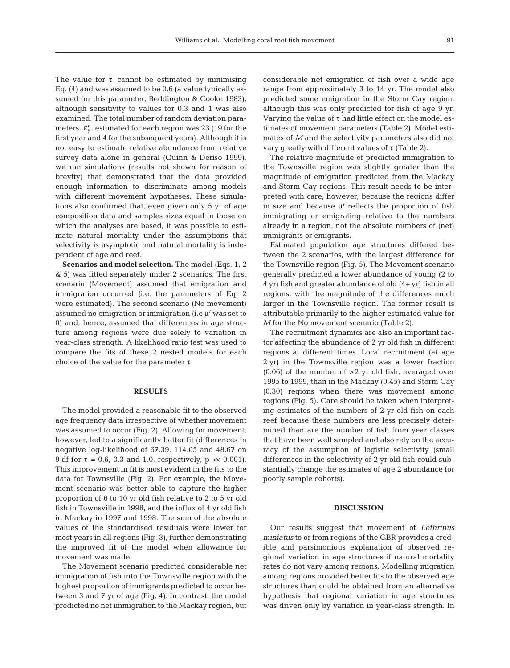The value for  $\tau$  cannot be estimated by minimising Eq. (4) and was assumed to be 0.6 (a value typically assumed for this parameter, Beddington & Cooke 1983), although sensitivity to values for 0.3 and 1 was also examined. The total number of random deviation parameters,  $\boldsymbol{\varepsilon}^r_{y}$ , estimated for each region was 23 (19 for the first year and 4 for the subsequent years). Although it is not easy to estimate relative abundance from relative survey data alone in general (Quinn & Deriso 1999), we ran simulations (results not shown for reason of brevity) that demonstrated that the data provided enough information to discriminate among models with different movement hypotheses. These simulations also confirmed that, even given only 5 yr of age composition data and samples sizes equal to those on which the analyses are based, it was possible to estimate natural mortality under the assumptions that selectivity is asymptotic and natural mortality is independent of age and reef.

**Scenarios and model selection.** The model (Eqs. 1, 2 & 5) was fitted separately under 2 scenarios. The first scenario (Movement) assumed that emigration and immigration occurred (i.e. the parameters of Eq. 2 were estimated). The second scenario (No movement) assumed no emigration or immigration (i.e μ*<sup>r</sup>* was set to 0) and, hence, assumed that differences in age structure among regions were due solely to variation in year-class strength. A likelihood ratio test was used to compare the fits of these 2 nested models for each choice of the value for the parameter  $\tau$ .

#### **RESULTS**

The model provided a reasonable fit to the observed age frequency data irrespective of whether movement was assumed to occur (Fig. 2). Allowing for movement, however, led to a significantly better fit (differences in negative log-likelihood of 67.39, 114.05 and 48.67 on 9 df for τ = 0.6, 0.3 and 1.0, respectively, p *<*< 0.001). This improvement in fit is most evident in the fits to the data for Townsville (Fig. 2). For example, the Movement scenario was better able to capture the higher proportion of 6 to 10 yr old fish relative to 2 to 5 yr old fish in Townsville in 1998, and the influx of 4 yr old fish in Mackay in 1997 and 1998. The sum of the absolute values of the standardised residuals were lower for most years in all regions (Fig. 3), further demonstrating the improved fit of the model when allowance for movement was made.

The Movement scenario predicted considerable net immigration of fish into the Townsville region with the highest proportion of immigrants predicted to occur between 3 and 7 yr of age (Fig. 4). In contrast, the model predicted no net immigration to the Mackay region, but

considerable net emigration of fish over a wide age range from approximately 3 to 14 yr. The model also predicted some emigration in the Storm Cay region, although this was only predicted for fish of age 9 yr. Varying the value of  $\tau$  had little effect on the model estimates of movement parameters (Table 2). Model estimates of *M* and the selectivity parameters also did not vary greatly with different values of τ (Table 2).

The relative magnitude of predicted immigration to the Townsville region was slightly greater than the magnitude of emigration predicted from the Mackay and Storm Cay regions. This result needs to be interpreted with care, however, because the regions differ in size and because  $\mu^r$  reflects the proportion of fish immigrating or emigrating relative to the numbers already in a region, not the absolute numbers of (net) immigrants or emigrants.

Estimated population age structures differed between the 2 scenarios, with the largest difference for the Townsville region (Fig. 5). The Movement scenario generally predicted a lower abundance of young (2 to 4 yr) fish and greater abundance of old (4+ yr) fish in all regions, with the magnitude of the differences much larger in the Townsville region. The former result is attributable primarily to the higher estimated value for *M* for the No movement scenario (Table 2).

The recruitment dynamics are also an important factor affecting the abundance of 2 yr old fish in different regions at different times. Local recruitment (at age 2 yr) in the Townsville region was a lower fraction  $(0.06)$  of the number of  $>2$  yr old fish, averaged over 1995 to 1999, than in the Mackay (0.45) and Storm Cay (0.30) regions when there was movement among regions (Fig. 5). Care should be taken when interpreting estimates of the numbers of 2 yr old fish on each reef because these numbers are less precisely determined than are the number of fish from year classes that have been well sampled and also rely on the accuracy of the assumption of logistic selectivity (small differences in the selectivity of 2 yr old fish could substantially change the estimates of age 2 abundance for poorly sample cohorts).

## **DISCUSSION**

Our results suggest that movement of *Lethrinus miniatus* to or from regions of the GBR provides a credible and parsimonious explanation of observed regional variation in age structures if natural mortality rates do not vary among regions. Modelling migration among regions provided better fits to the observed age structures than could be obtained from an alternative hypothesis that regional variation in age structures was driven only by variation in year-class strength. In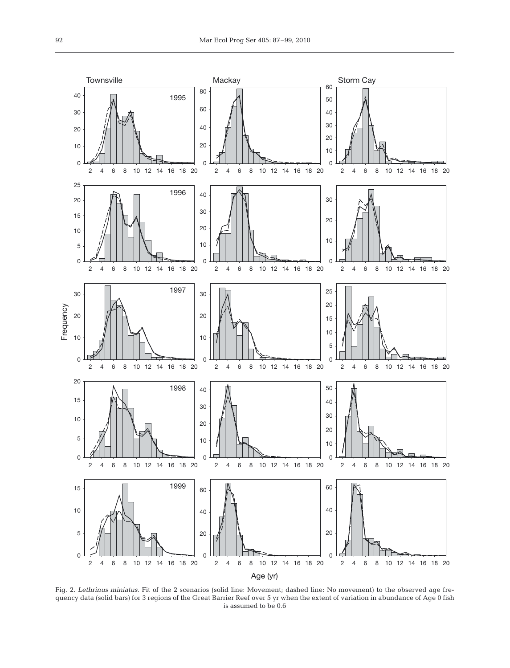

Fig. 2. *Lethrinus miniatus*. Fit of the 2 scenarios (solid line: Movement; dashed line: No movement) to the observed age frequency data (solid bars) for 3 regions of the Great Barrier Reef over 5 yr when the extent of variation in abundance of Age 0 fish is assumed to be 0.6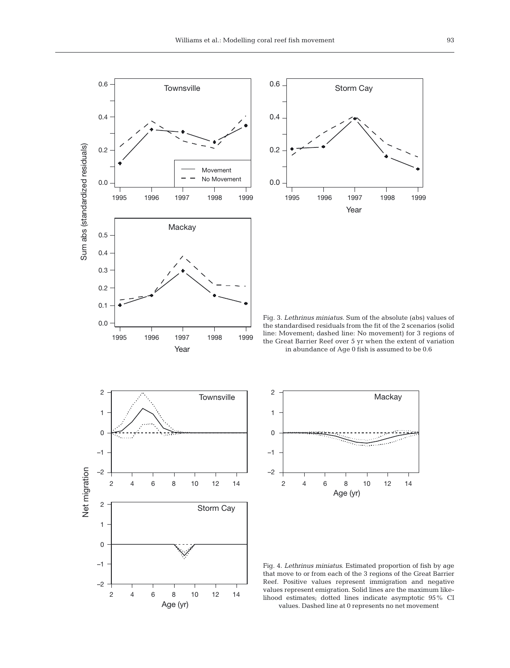



0.0 Fig. 3. *Lethrinus miniatus*. Sum of the absolute (abs) values of the standardised residuals from the fit of the 2 scenarios (solid line: Movement; dashed line: No movement) for 3 regions of the Great Barrier Reef over 5 yr when the extent of variation in abundance of Age 0 fish is assumed to be 0.6





Fig. 4. *Lethrinus miniatus*. Estimated proportion of fish by age that move to or from each of the 3 regions of the Great Barrier Reef. Positive values represent immigration and negative values represent emigration. Solid lines are the maximum likelihood estimates; dotted lines indicate asymptotic 95% CI values. Dashed line at 0 represents no net movement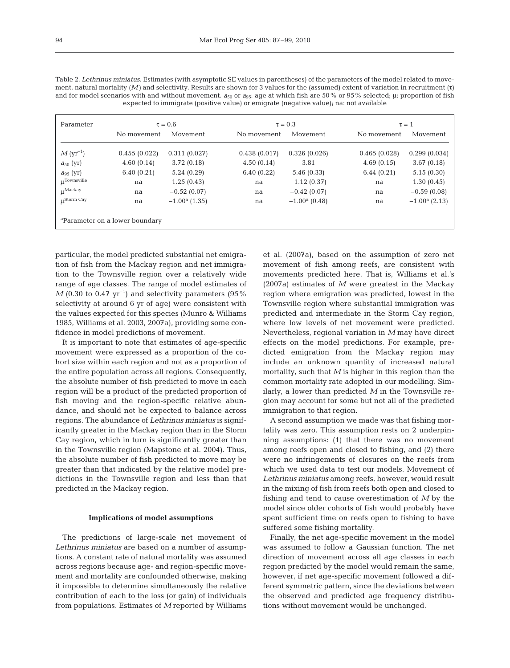| ×<br>۰.<br>۰.<br>×. |  |
|---------------------|--|
|                     |  |

| No movement  | Movement                                                               | No movement  | Movement               |              |                 |
|--------------|------------------------------------------------------------------------|--------------|------------------------|--------------|-----------------|
|              |                                                                        |              |                        | No movement  | Movement        |
| 0.455(0.022) | 0.311(0.027)                                                           | 0.438(0.017) | 0.326(0.026)           | 0.465(0.028) | 0.299(0.034)    |
|              | 3.72(0.18)                                                             | 4.50(0.14)   | 3.81                   | 4.69(0.15)   | 3.67(0.18)      |
|              | 5.24(0.29)                                                             | 6.40(0.22)   | 5.46(0.33)             | 6.44(0.21)   | 5.15(0.30)      |
| na           | 1.25(0.43)                                                             | na           | 1.12(0.37)             | na           | 1.30(0.45)      |
| na           | $-0.52(0.07)$                                                          | na           | $-0.42(0.07)$          | na           | $-0.59(0.08)$   |
| na           | $-1.00a$ (1.35)                                                        | na           | $-1.00^{\rm a}$ (0.48) | na           | $-1.00a$ (2.13) |
|              |                                                                        |              |                        |              |                 |
|              | 4.60(0.14)<br>6.40(0.21)<br><sup>a</sup> Parameter on a lower boundary |              |                        |              |                 |

Table 2. *Lethrinus miniatus*. Estimates (with asymptotic SE values in parentheses) of the parameters of the model related to movement, natural mortality (*M)* and selectivity. Results are shown for 3 values for the (assumed) extent of variation in recruitment (τ) and for model scenarios with and without movement.  $a_{50}$  or  $a_{95}$ : age at which fish are 50% or 95% selected; μ: proportion of fish expected to immigrate (positive value) or emigrate (negative value); na: not available

particular, the model predicted substantial net emigration of fish from the Mackay region and net immigration to the Townsville region over a relatively wide range of age classes. The range of model estimates of  $M$  (0.30 to 0.47 yr<sup>-1</sup>) and selectivity parameters (95%) selectivity at around 6 yr of age) were consistent with the values expected for this species (Munro & Williams 1985, Williams et al. 2003, 2007a), providing some confidence in model predictions of movement.

It is important to note that estimates of age-specific movement were expressed as a proportion of the cohort size within each region and not as a proportion of the entire population across all regions. Consequently, the absolute number of fish predicted to move in each region will be a product of the predicted proportion of fish moving and the region-specific relative abundance, and should not be expected to balance across regions. The abundance of *Lethrinus miniatus* is significantly greater in the Mackay region than in the Storm Cay region, which in turn is significantly greater than in the Townsville region (Mapstone et al. 2004). Thus, the absolute number of fish predicted to move may be greater than that indicated by the relative model predictions in the Townsville region and less than that predicted in the Mackay region.

#### **Implications of model assumptions**

The predictions of large-scale net movement of *Lethrinus miniatus* are based on a number of assumptions. A constant rate of natural mortality was assumed across regions because age- and region-specific movement and mortality are confounded otherwise, making it impossible to determine simultaneously the relative contribution of each to the loss (or gain) of individuals from populations. Estimates of *M* reported by Williams

et al. (2007a), based on the assumption of zero net movement of fish among reefs, are consistent with movements predicted here. That is, Williams et al.'s (2007a) estimates of *M* were greatest in the Mackay region where emigration was predicted, lowest in the Townsville region where substantial immigration was predicted and intermediate in the Storm Cay region, where low levels of net movement were predicted. Nevertheless, regional variation in *M* may have direct effects on the model predictions. For example, predicted emigration from the Mackay region may include an unknown quantity of increased natural mortality, such that *M* is higher in this region than the common mortality rate adopted in our modelling. Similarly, a lower than predicted *M* in the Townsville region may account for some but not all of the predicted immigration to that region.

A second assumption we made was that fishing mortality was zero. This assumption rests on 2 underpinning assumptions: (1) that there was no movement among reefs open and closed to fishing, and (2) there were no infringements of closures on the reefs from which we used data to test our models. Movement of *Lethrinus miniatus* among reefs, however, would result in the mixing of fish from reefs both open and closed to fishing and tend to cause overestimation of *M* by the model since older cohorts of fish would probably have spent sufficient time on reefs open to fishing to have suffered some fishing mortality.

Finally, the net age-specific movement in the model was assumed to follow a Gaussian function. The net direction of movement across all age classes in each region predicted by the model would remain the same, however, if net age-specific movement followed a different symmetric pattern, since the deviations between the observed and predicted age frequency distributions without movement would be unchanged.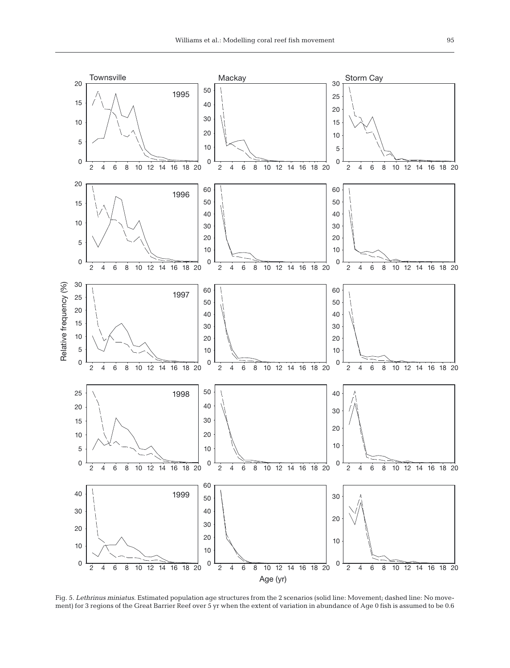

Fig. 5. *Lethrinus miniatus*. Estimated population age structures from the 2 scenarios (solid line: Movement; dashed line: No movement) for 3 regions of the Great Barrier Reef over 5 yr when the extent of variation in abundance of Age 0 fish is assumed to be 0.6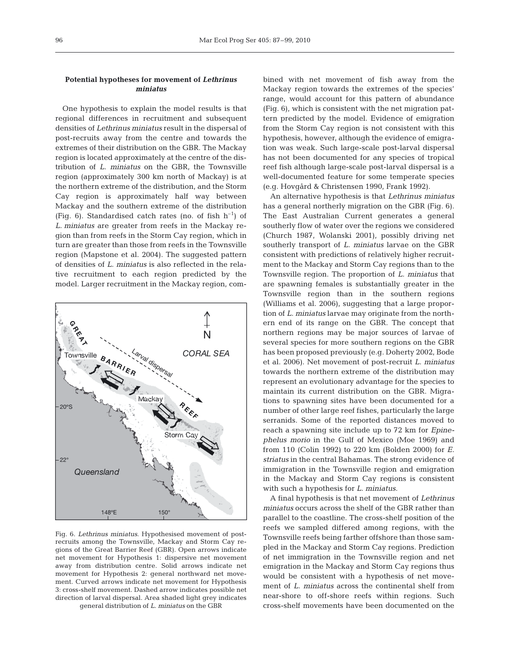## **Potential hypotheses for movement of** *Lethrinus miniatus*

One hypothesis to explain the model results is that regional differences in recruitment and subsequent densities of *Lethrinus miniatus* result in the dispersal of post-recruits away from the centre and towards the extremes of their distribution on the GBR. The Mackay region is located approximately at the centre of the distribution of *L. miniatus* on the GBR, the Townsville region (approximately 300 km north of Mackay) is at the northern extreme of the distribution, and the Storm Cay region is approximately half way between Mackay and the southern extreme of the distribution (Fig. 6). Standardised catch rates (no. of fish  $h^{-1}$ ) of *L. miniatus* are greater from reefs in the Mackay region than from reefs in the Storm Cay region, which in turn are greater than those from reefs in the Townsville region (Mapstone et al. 2004). The suggested pattern of densities of *L. miniatus* is also reflected in the relative recruitment to each region predicted by the model. Larger recruitment in the Mackay region, com-



Fig. 6. *Lethrinus miniatus*. Hypothesised movement of postrecruits among the Townsville, Mackay and Storm Cay regions of the Great Barrier Reef (GBR). Open arrows indicate net movement for Hypothesis 1: dispersive net movement away from distribution centre. Solid arrows indicate net movement for Hypothesis 2: general northward net movement. Curved arrows indicate net movement for Hypothesis 3: cross-shelf movement. Dashed arrow indicates possible net direction of larval dispersal. Area shaded light grey indicates

general distribution of *L. miniatus* on the GBR

bined with net movement of fish away from the Mackay region towards the extremes of the species' range, would account for this pattern of abundance (Fig. 6), which is consistent with the net migration pattern predicted by the model. Evidence of emigration from the Storm Cay region is not consistent with this hypothesis, however, although the evidence of emigration was weak. Such large-scale post-larval dispersal has not been documented for any species of tropical reef fish although large-scale post-larval dispersal is a well-documented feature for some temperate species (e.g. Hovgård & Christensen 1990, Frank 1992).

An alternative hypothesis is that *Lethrinus miniatus* has a general northerly migration on the GBR (Fig. 6). The East Australian Current generates a general southerly flow of water over the regions we considered (Church 1987, Wolanski 2001), possibly driving net southerly transport of *L. miniatus* larvae on the GBR consistent with predictions of relatively higher recruitment to the Mackay and Storm Cay regions than to the Townsville region. The proportion of *L. miniatus* that are spawning females is substantially greater in the Townsville region than in the southern regions (Williams et al. 2006), suggesting that a large proportion of *L. miniatus* larvae may originate from the northern end of its range on the GBR. The concept that northern regions may be major sources of larvae of several species for more southern regions on the GBR has been proposed previously (e.g. Doherty 2002, Bode et al. 2006). Net movement of post-recruit *L. miniatus* towards the northern extreme of the distribution may represent an evolutionary advantage for the species to maintain its current distribution on the GBR. Migrations to spawning sites have been documented for a number of other large reef fishes, particularly the large serranids. Some of the reported distances moved to reach a spawning site include up to 72 km for *Epinephelus morio* in the Gulf of Mexico (Moe 1969) and from 110 (Colin 1992) to 220 km (Bolden 2000) for *E. striatus* in the central Bahamas. The strong evidence of immigration in the Townsville region and emigration in the Mackay and Storm Cay regions is consistent with such a hypothesis for *L. miniatus*.

A final hypothesis is that net movement of *Lethrinus miniatus* occurs across the shelf of the GBR rather than parallel to the coastline. The cross-shelf position of the reefs we sampled differed among regions, with the Townsville reefs being farther offshore than those sampled in the Mackay and Storm Cay regions. Prediction of net immigration in the Townsville region and net emigration in the Mackay and Storm Cay regions thus would be consistent with a hypothesis of net movement of *L. miniatus* across the continental shelf from near-shore to off-shore reefs within regions. Such cross-shelf movements have been documented on the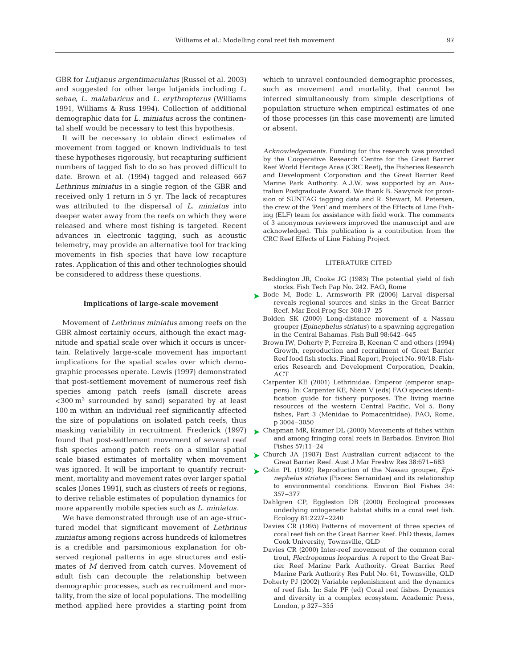GBR for *Lutjanus argentimaculatus* (Russel et al. 2003) and suggested for other large lutjanids including *L. sebae*, *L. malabaricus* and *L. erythropterus* (Williams 1991, Williams & Russ 1994). Collection of additional demographic data for *L. miniatus* across the continental shelf would be necessary to test this hypothesis.

It will be necessary to obtain direct estimates of movement from tagged or known individuals to test these hypotheses rigorously, but recapturing sufficient numbers of tagged fish to do so has proved difficult to date. Brown et al. (1994) tagged and released 667 *Lethrinus miniatus* in a single region of the GBR and received only 1 return in 5 yr. The lack of recaptures was attributed to the dispersal of *L. miniatus* into deeper water away from the reefs on which they were released and where most fishing is targeted. Recent advances in electronic tagging, such as acoustic telemetry, may provide an alternative tool for tracking movements in fish species that have low recapture rates. Application of this and other technologies should be considered to address these questions.

#### **Implications of large-scale movement**

Movement of *Lethrinus miniatus* among reefs on the GBR almost certainly occurs, although the exact magnitude and spatial scale over which it occurs is uncertain. Relatively large-scale movement has important implications for the spatial scales over which demographic processes operate. Lewis (1997) demonstrated that post-settlement movement of numerous reef fish species among patch reefs (small discrete areas  $<$ 300 m<sup>2</sup> surrounded by sand) separated by at least 100 m within an individual reef significantly affected the size of populations on isolated patch reefs, thus masking variability in recruitment. Frederick (1997) found that post-settlement movement of several reef fish species among patch reefs on a similar spatial scale biased estimates of mortality when movement was ignored. It will be important to quantify recruitment, mortality and movement rates over larger spatial scales (Jones 1991), such as clusters of reefs or regions, to derive reliable estimates of population dynamics for more apparently mobile species such as *L. miniatus*.

We have demonstrated through use of an age-structured model that significant movement of *Lethrinus miniatus* among regions across hundreds of kilometres is a credible and parsimonious explanation for observed regional patterns in age structures and estimates of *M* derived from catch curves. Movement of adult fish can decouple the relationship between demographic processes, such as recruitment and mortality, from the size of local populations. The modelling method applied here provides a starting point from

which to unravel confounded demographic processes, such as movement and mortality, that cannot be inferred simultaneously from simple descriptions of population structure when empirical estimates of one of those processes (in this case movement) are limited or absent.

*Acknowledgements.* Funding for this research was provided by the Cooperative Research Centre for the Great Barrier Reef World Heritage Area (CRC Reef), the Fisheries Research and Development Corporation and the Great Barrier Reef Marine Park Authority. A.J.W. was supported by an Australian Postgraduate Award. We thank B. Sawynok for provision of SUNTAG tagging data and R. Stewart, M. Petersen, the crew of the 'Peri' and members of the Effects of Line Fishing (ELF) team for assistance with field work. The comments of 3 anonymous reviewers improved the manuscript and are acknowledged. This publication is a contribution from the CRC Reef Effects of Line Fishing Project.

### LITERATURE CITED

- Beddington JR, Cooke JG (1983) The potential yield of fish stocks. Fish Tech Pap No. 242. FAO, Rome
- ▶ Bode M, Bode L, Armsworth PR (2006) Larval dispersal reveals regional sources and sinks in the Great Barrier Reef. Mar Ecol Prog Ser 308:17–25
	- Bolden SK (2000) Long-distance movement of a Nassau grouper (*Epinephelus striatus)* to a spawning aggregation in the Central Bahamas. Fish Bull 98:642–645
	- Brown IW, Doherty P, Ferreira B, Keenan C and others (1994) Growth, reproduction and recruitment of Great Barrier Reef food fish stocks. Final Report, Project No. 90/18. Fisheries Research and Development Corporation, Deakin, ACT
	- Carpenter KE (2001) Lethrinidae. Emperor (emperor snappers). In: Carpenter KE, Niem V (eds) FAO species identification guide for fishery purposes. The living marine resources of the western Central Pacific, Vol 5. Bony fishes, Part 3 (Menidae to Pomacentridae). FAO, Rome, p 3004–3050
- ► Chapman MR, Kramer DL (2000) Movements of fishes within and among fringing coral reefs in Barbados. Environ Biol Fishes 57:11–24
- Church JA (1987) East Australian current adjacent to the ➤ Great Barrier Reef. Aust J Mar Freshw Res 38:671–683
- Colin PL (1992) Reproduction of the Nassau grouper, *Epi-*➤*nephelus striatus* (Pisces: Serranidae) and its relationship to environmental conditions. Environ Biol Fishes 34: 357–377
	- Dahlgren CP, Eggleston DB (2000) Ecological processes underlying ontogenetic habitat shifts in a coral reef fish. Ecology 81:2227–2240
	- Davies CR (1995) Patterns of movement of three species of coral reef fish on the Great Barrier Reef. PhD thesis, James Cook University, Townsville, QLD
	- Davies CR (2000) Inter-reef movement of the common coral trout, *Plectropomus leopardus*. A report to the Great Barrier Reef Marine Park Authority. Great Barrier Reef Marine Park Authority Res Publ No. 61, Townsville, QLD
	- Doherty PJ (2002) Variable replenishment and the dynamics of reef fish. In: Sale PF (ed) Coral reef fishes. Dynamics and diversity in a complex ecosystem. Academic Press, London, p 327–355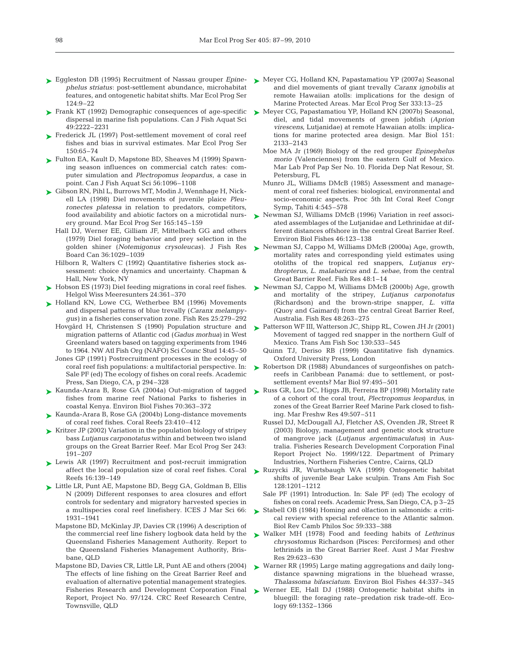- Eggleston DB (1995) Recruitment of Nassau grouper *Epine-*➤ *phelus striatus*: post-settlement abundance, microhabitat features, and ontogenetic habitat shifts. Mar Ecol Prog Ser 124:9–22
- ► Frank KT (1992) Demographic consequences of age-specific dispersal in marine fish populations. Can J Fish Aquat Sci 49:2222–2231
- ► Frederick JL (1997) Post-settlement movement of coral reef fishes and bias in survival estimates. Mar Ecol Prog Ser 150:65–74
- ► Fulton EA, Kault D, Mapstone BD, Sheaves M (1999) Spawning season influences on commercial catch rates: computer simulation and *Plectropomus leopardus*, a case in point. Can J Fish Aquat Sci 56:1096–1108
- ► Gibson RN, Pihl L, Burrows MT, Modin J, Wennhage H, Nickell LA (1998) Diel movements of juvenile plaice *Pleuronectes platessa* in relation to predators, competitors, food availability and abiotic factors on a microtidal nursery ground. Mar Ecol Prog Ser 165:145–159
	- Hall DJ, Werner EE, Gilliam JF, Mittelbach GG and others (1979) Diel foraging behavior and prey selection in the golden shiner (*Notemigonus crysoleucas)*. J Fish Res Board Can 36:1029–1039
	- Hilborn R, Walters C (1992) Quantitative fisheries stock assessment: choice dynamics and uncertainty. Chapman & Hall, New York, NY
- ► Hobson ES (1973) Diel feeding migrations in coral reef fishes. Helgol Wiss Meeresunters 24:361–370
- ► Holland KN, Lowe CG, Wetherbee BM (1996) Movements and dispersal patterns of blue trevally (*Caranx melampygus)* in a fisheries conservation zone. Fish Res 25:279–292
	- Hovgård H, Christensen S (1990) Population structure and migration patterns of Atlantic cod (*Gadus morhua)* in West Greenland waters based on tagging experiments from 1946 to 1964. NW Atl Fish Org (NAFO) Sci Counc Stud 14:45–50
	- Jones GP (1991) Postrecruitment processes in the ecology of coral reef fish populations: a multifactorial perspective. In: Sale PF (ed) The ecology of fishes on coral reefs. Academic Press, San Diego, CA, p 294–328
- ► Kaunda-Arara B, Rose GA (2004a) Out-migration of tagged fishes from marine reef National Parks to fisheries in coastal Kenya. Environ Biol Fishes 70:363–372
- ► Kaunda-Arara B, Rose GA (2004b) Long-distance movements of coral reef fishes. Coral Reefs 23:410–412
- ► Kritzer JP (2002) Variation in the population biology of stripey bass *Lutjanus carponotatus* within and between two island groups on the Great Barrier Reef. Mar Ecol Prog Ser 243: 191–207
- ► Lewis AR (1997) Recruitment and post-recruit immigration affect the local population size of coral reef fishes. Coral Reefs 16:139–149
- ► Little LR, Punt AE, Mapstone BD, Begg GA, Goldman B, Ellis N (2009) Different responses to area closures and effort controls for sedentary and migratory harvested species in a multispecies coral reef linefishery. ICES J Mar Sci 66: 1931–1941
	- Mapstone BD, McKinlay JP, Davies CR (1996) A description of the commercial reef line fishery logbook data held by the Queensland Fisheries Management Authority. Report to the Queensland Fisheries Management Authority, Brisbane, QLD
	- Mapstone BD, Davies CR, Little LR, Punt AE and others (2004) The effects of line fishing on the Great Barrier Reef and evaluation of alternative potential management strategies. Fisheries Research and Development Corporation Final Report, Project No. 97/124. CRC Reef Research Centre, Townsville, QLD
- ► Meyer CG, Holland KN, Papastamatiou YP (2007a) Seasonal and diel movements of giant trevally *Caranx ignobilis* at remote Hawaiian atolls: implications for the design of Marine Protected Areas. Mar Ecol Prog Ser 333:13–25
- ► Meyer CG, Papastamatiou YP, Holland KN (2007b) Seasonal, diel, and tidal movements of green jobfish (*Aprion virescens*, Lutjanidae) at remote Hawaiian atolls: implications for marine protected area design. Mar Biol 151: 2133–2143
	- Moe MA Jr (1969) Biology of the red grouper *Epinephelus morio* (Valenciennes) from the eastern Gulf of Mexico. Mar Lab Prof Pap Ser No. 10. Florida Dep Nat Resour, St. Petersburg, FL
	- Munro JL, Williams DMcB (1985) Assessment and management of coral reef fisheries: biological, environmental and socio-economic aspects. Proc 5th Int Coral Reef Congr Symp, Tahiti 4:545–578
- ► Newman SJ, Williams DMcB (1996) Variation in reef associated assemblages of the Lutjanidae and Lethrinidae at different distances offshore in the central Great Barrier Reef. Environ Biol Fishes 46:123–138
- Newman SJ, Cappo M, Williams DMcB (2000a) Age, growth, ➤ mortality rates and corresponding yield estimates using otoliths of the tropical red snappers, *Lutjanus erythropterus*, *L. malabaricus* and *L. sebae*, from the central Great Barrier Reef. Fish Res 48:1–14
- ► Newman SJ, Cappo M, Williams DMcB (2000b) Age, growth and mortality of the stripey, *Lutjanus carponotatus* (Richardson) and the brown-stripe snapper, *L. vitta* (Quoy and Gaimard) from the central Great Barrier Reef, Australia. Fish Res 48:263–275
- ▶ Patterson WF III, Watterson JC, Shipp RL, Cowen JH Jr (2001) Movement of tagged red snapper in the northern Gulf of Mexico. Trans Am Fish Soc 130:533–545
	- Quinn TJ, Deriso RB (1999) Quantitative fish dynamics. Oxford University Press, London
- ► Robertson DR (1988) Abundances of surgeonfishes on patchreefs in Caribbean Panamá: due to settlement, or postsettlement events? Mar Biol 97:495–501
- ► Russ GR, Lou DC, Higgs JB, Ferreira BP (1998) Mortality rate of a cohort of the coral trout, *Plectropomus leopardus*, in zones of the Great Barrier Reef Marine Park closed to fishing. Mar Freshw Res 49:507–511
	- Russel DJ, McDougall AJ, Fletcher AS, Ovenden JR, Street R (2003) Biology, management and genetic stock structure of mangrove jack (*Lutjanus argentimaculatus*) in Australia. Fisheries Research Development Corporation Final Report Project No. 1999/122. Department of Primary Industries, Northern Fisheries Centre, Cairns, QLD
- Ruzycki JR, Wurtsbaugh WA (1999) Ontogenetic habitat ➤ shifts of juvenile Bear Lake sculpin. Trans Am Fish Soc 128:1201–1212
	- Sale PF (1991) Introduction. In: Sale PF (ed) The ecology of fishes on coral reefs. Academic Press, San Diego, CA, p 3–25
- ► Stabell OB (1984) Homing and olfaction in salmonids: a critical review with special reference to the Atlantic salmon. Biol Rev Camb Philos Soc 59:333–388
- Walker MH (1978) Food and feeding habits of *Lethrinus* ➤ *chrysostomus* Richardson (Pisces: Perciformes) and other lethrinids in the Great Barrier Reef. Aust J Mar Freshw Res 29:623–630
- ► Warner RR (1995) Large mating aggregations and daily longdistance spawning migrations in the bluehead wrasse, *Thalassoma bifasciatum*. Environ Biol Fishes 44:337–345
- ▶ Werner EE, Hall DJ (1988) Ontogenetic habitat shifts in bluegill: the foraging rate–predation risk trade-off. Ecology 69:1352–1366